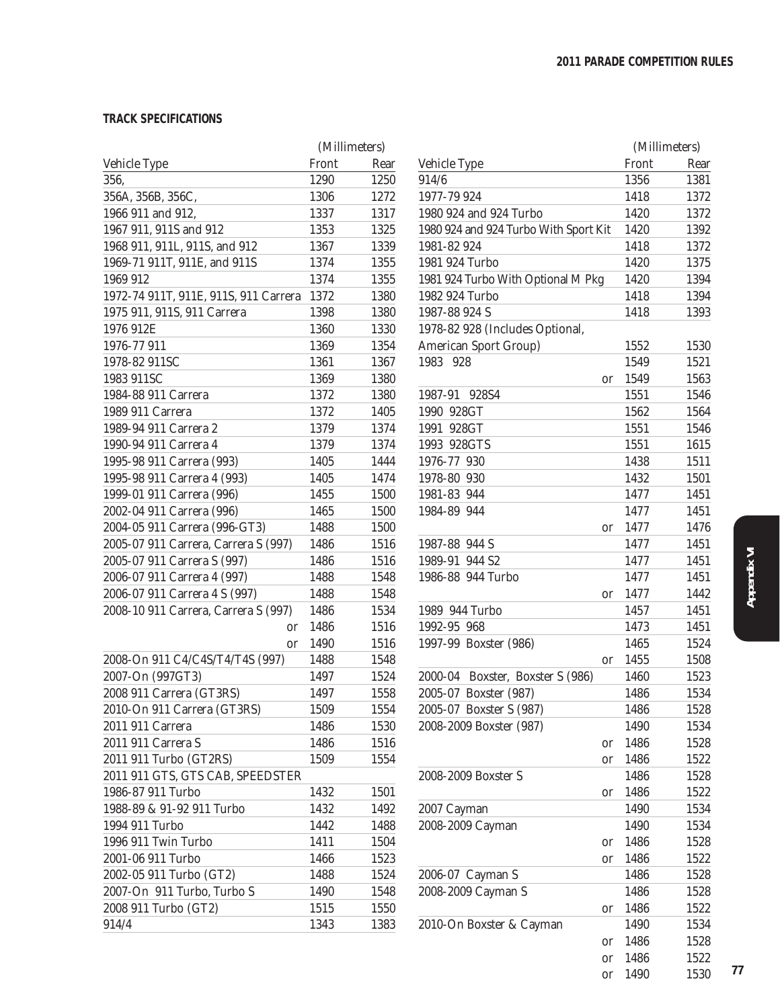### **TRACK SPECIFICATIONS**

|                                       | (Millimeters) |      |
|---------------------------------------|---------------|------|
| Vehicle Type                          | Front         | Rear |
| 356,                                  | 1290          | 1250 |
| 356A, 356B, 356C,                     | 1306          | 1272 |
| 1966 911 and 912,                     | 1337          | 1317 |
| 1967 911, 911S and 912                | 1353          | 1325 |
| 1968 911, 911L, 911S, and 912         | 1367          | 1339 |
| 1969-71 911T, 911E, and 911S          | 1374          | 1355 |
| 1969 912                              | 1374          | 1355 |
| 1972-74 911T, 911E, 911S, 911 Carrera | 1372          | 1380 |
| 1975 911, 911S, 911 Carrera           | 1398          | 1380 |
| 1976 912E                             | 1360          | 1330 |
| 1976-77 911                           | 1369          | 1354 |
| 1978-82 911SC                         | 1361          | 1367 |
| 1983 911SC                            | 1369          | 1380 |
| 1984-88 911 Carrera                   | 1372          | 1380 |
| 1989 911 Carrera                      | 1372          | 1405 |
| 1989-94 911 Carrera 2                 | 1379          | 1374 |
|                                       |               |      |
| 1990-94 911 Carrera 4                 | 1379          | 1374 |
| 1995-98 911 Carrera (993)             | 1405          | 1444 |
| 1995-98 911 Carrera 4 (993)           | 1405          | 1474 |
| 1999-01 911 Carrera (996)             | 1455          | 1500 |
| 2002-04 911 Carrera (996)             | 1465          | 1500 |
| 2004-05 911 Carrera (996-GT3)         | 1488          | 1500 |
| 2005-07 911 Carrera, Carrera S (997)  | 1486          | 1516 |
| 2005-07 911 Carrera S (997)           | 1486          | 1516 |
| 2006-07 911 Carrera 4 (997)           | 1488          | 1548 |
| 2006-07 911 Carrera 4 S (997)         | 1488          | 1548 |
| 2008-10 911 Carrera, Carrera S (997)  | 1486          | 1534 |
| or                                    | 1486          | 1516 |
| or                                    | 1490          | 1516 |
| 2008-On 911 C4/C4S/T4/T4S (997)       | 1488          | 1548 |
| 2007-On (997GT3)                      | 1497          | 1524 |
| 2008 911 Carrera (GT3RS)              | 1497          | 1558 |
| 2010-On 911 Carrera (GT3RS)           | 1509          | 1554 |
| 2011 911 Carrera                      | 1486          | 1530 |
| 2011 911 Carrera S                    | 1486          | 1516 |
| 2011 911 Turbo (GT2RS)                | 1509          | 1554 |
| 2011 911 GTS, GTS CAB, SPEEDSTER      |               |      |
| 1986-87 911 Turbo                     | 1432          | 1501 |
| 1988-89 & 91-92 911 Turbo             | 1432          | 1492 |
| 1994 911 Turbo                        | 1442          | 1488 |
| 1996 911 Twin Turbo                   | 1411          | 1504 |
| 2001-06 911 Turbo                     | 1466          | 1523 |
| 2002-05 911 Turbo (GT2)               | 1488          | 1524 |
| 2007-On 911 Turbo, Turbo S            | 1490          | 1548 |
| 2008 911 Turbo (GT2)                  | 1515          | 1550 |
| 914/4                                 | 1343          | 1383 |
|                                       |               |      |

|                                       |       | (Millimeters) |    |
|---------------------------------------|-------|---------------|----|
| Vehicle Type                          | Front | Rear          |    |
| 914/6                                 | 1356  | 1381          |    |
| 1977-79 924                           | 1418  | 1372          |    |
| 1980 924 and 924 Turbo                | 1420  | 1372          |    |
| 1980 924 and 924 Turbo With Sport Kit | 1420  | 1392          |    |
| 1981-82 924                           | 1418  | 1372          |    |
| 1981 924 Turbo                        | 1420  | 1375          |    |
| 1981 924 Turbo With Optional M Pkg    | 1420  | 1394          |    |
| 1982 924 Turbo                        | 1418  | 1394          |    |
| 1987-88 924 S                         | 1418  | 1393          |    |
| 1978-82 928 (Includes Optional,       |       |               |    |
| <b>American Sport Group)</b>          | 1552  | 1530          |    |
| 1983<br>928                           | 1549  | 1521          |    |
| or                                    | 1549  | 1563          |    |
| 1987-91<br>928S4                      | 1551  | 1546          |    |
| 1990 928GT                            | 1562  | 1564          |    |
| 1991 928GT                            | 1551  | 1546          |    |
| 1993 928GTS                           | 1551  | 1615          |    |
| 1976-77 930                           | 1438  | 1511          |    |
| 1978-80 930                           | 1432  | 1501          |    |
| 1981-83 944                           | 1477  | 1451          |    |
| 1984-89 944                           | 1477  | 1451          |    |
| or                                    | 1477  | 1476          |    |
| 1987-88 944 S                         | 1477  | 1451          |    |
| 1989-91 944 S2                        | 1477  | 1451          |    |
| 1986-88 944 Turbo                     | 1477  | 1451          |    |
|                                       | 1477  | 1442          |    |
| or<br>1989 944 Turbo                  | 1457  | 1451          |    |
| 1992-95 968                           | 1473  | 1451          |    |
|                                       |       |               |    |
| 1997-99 Boxster (986)                 | 1465  | 1524          |    |
| or<br>2000-04                         | 1455  | 1508          |    |
| Boxster, Boxster S (986)              | 1460  | 1523          |    |
| 2005-07 Boxster (987)                 | 1486  | 1534          |    |
| 2005-07 Boxster S (987)               | 1486  | 1528          |    |
| 2008-2009 Boxster (987)               | 1490  | 1534          |    |
| or                                    | 1486  | 1528          |    |
| or                                    | 1486  | 1522          |    |
| 2008-2009 Boxster S                   | 1486  | 1528          |    |
| or                                    | 1486  | 1522          |    |
| 2007 Cayman                           | 1490  | 1534          |    |
| 2008-2009 Cayman                      | 1490  | 1534          |    |
| or                                    | 1486  | 1528          |    |
| or                                    | 1486  | 1522          |    |
| 2006-07 Cayman S                      | 1486  | 1528          |    |
| 2008-2009 Cayman S                    | 1486  | 1528          |    |
| or                                    | 1486  | 1522          |    |
| 2010-On Boxster & Cayman              | 1490  | 1534          |    |
| or                                    | 1486  | 1528          |    |
| or                                    | 1486  | 1522          |    |
| or                                    | 1490  | 1530          | 77 |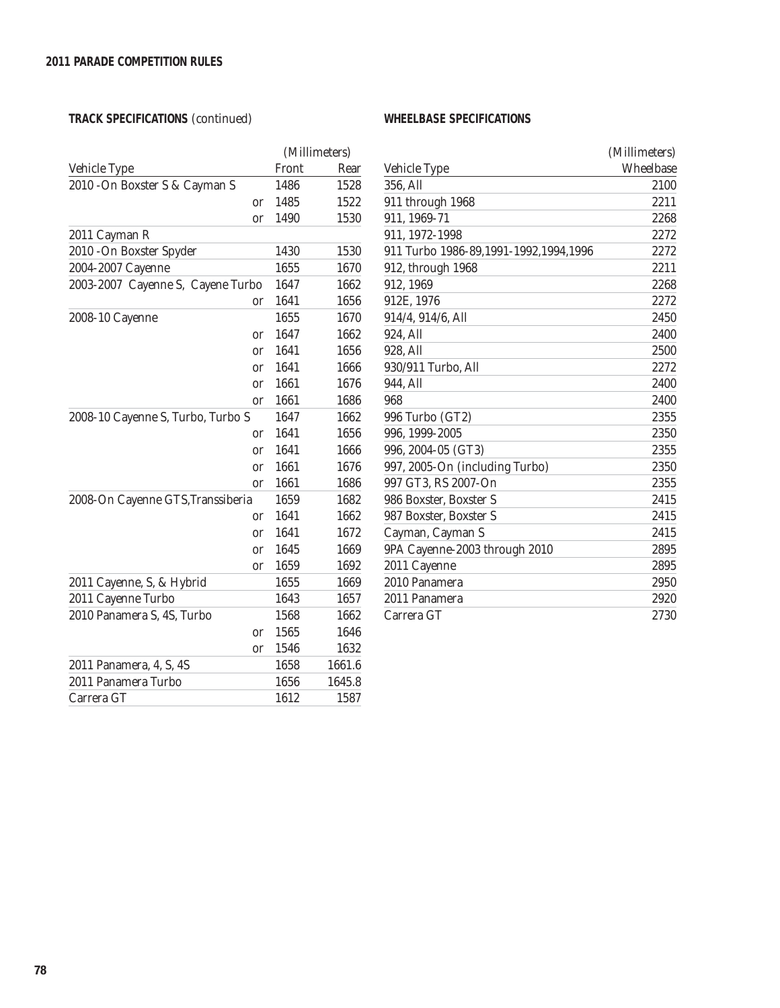## **TRACK SPECIFICATIONS** (continued)

### **WHEELBASE SPECIFICATIONS**

|                                   |               | (Millimeters) |        |  |
|-----------------------------------|---------------|---------------|--------|--|
| Vehicle Type                      |               | Front         | Rear   |  |
| 2010 - On Boxster S & Cayman S    |               | 1486          | 1528   |  |
|                                   | <sub>or</sub> | 1485          | 1522   |  |
|                                   | <sub>or</sub> | 1490          | 1530   |  |
| 2011 Cayman R                     |               |               |        |  |
| 2010 - On Boxster Spyder          |               | 1430          | 1530   |  |
| 2004-2007 Cayenne                 |               | 1655          | 1670   |  |
| 2003-2007 Cayenne S, Cayene Turbo |               | 1647          | 1662   |  |
|                                   | or            | 1641          | 1656   |  |
| 2008-10 Cayenne                   |               | 1655          | 1670   |  |
|                                   | or            | 1647          | 1662   |  |
|                                   | <sub>or</sub> | 1641          | 1656   |  |
|                                   | <sub>or</sub> | 1641          | 1666   |  |
|                                   | or            | 1661          | 1676   |  |
|                                   | or            | 1661          | 1686   |  |
| 2008-10 Cayenne S, Turbo, Turbo S |               | 1647          | 1662   |  |
|                                   | <sub>or</sub> | 1641          | 1656   |  |
|                                   | <sub>or</sub> | 1641          | 1666   |  |
|                                   | <sub>or</sub> | 1661          | 1676   |  |
|                                   | or            | 1661          | 1686   |  |
| 2008-On Cayenne GTS, Transsiberia |               | 1659          | 1682   |  |
|                                   | or            | 1641          | 1662   |  |
|                                   | <sub>or</sub> | 1641          | 1672   |  |
|                                   | or            | 1645          | 1669   |  |
|                                   | or            | 1659          | 1692   |  |
| 2011 Cayenne, S, & Hybrid         |               | 1655          | 1669   |  |
| 2011 Cayenne Turbo                |               | 1643          | 1657   |  |
| 2010 Panamera S, 4S, Turbo        |               | 1568          | 1662   |  |
|                                   | <sub>or</sub> | 1565          | 1646   |  |
|                                   | or            | 1546          | 1632   |  |
| 2011 Panamera, 4, S, 4S           |               | 1658          | 1661.6 |  |
| 2011 Panamera Turbo               |               | 1656          | 1645.8 |  |
| Carrera GT                        |               | 1612          | 1587   |  |

|                                       | (Millimeters) |
|---------------------------------------|---------------|
| Vehicle Type                          | Wheelbase     |
| 356, All                              | 2100          |
| 911 through 1968                      | 2211          |
| 911, 1969-71                          | 2268          |
| 911, 1972-1998                        | 2272          |
| 911 Turbo 1986-89,1991-1992,1994,1996 | 2272          |
| 912, through 1968                     | 2211          |
| 912, 1969                             | 2268          |
| 912E, 1976                            | 2272          |
| 914/4, 914/6, All                     | 2450          |
| 924, All                              | 2400          |
| 928, All                              | 2500          |
| 930/911 Turbo, All                    | 2272          |
| 944, All                              | 2400          |
| 968                                   | 2400          |
| 996 Turbo (GT2)                       | 2355          |
| 996, 1999-2005                        | 2350          |
| 996, 2004-05 (GT3)                    | 2355          |
| 997, 2005-On (including Turbo)        | 2350          |
| 997 GT3, RS 2007-On                   | 2355          |
| 986 Boxster, Boxster S                | 2415          |
| 987 Boxster, Boxster S                | 2415          |
| Cayman, Cayman S                      | 2415          |
| 9PA Cayenne-2003 through 2010         | 2895          |
| 2011 Cayenne                          | 2895          |
| 2010 Panamera                         | 2950          |
| 2011 Panamera                         | 2920          |
| Carrera GT                            | 2730          |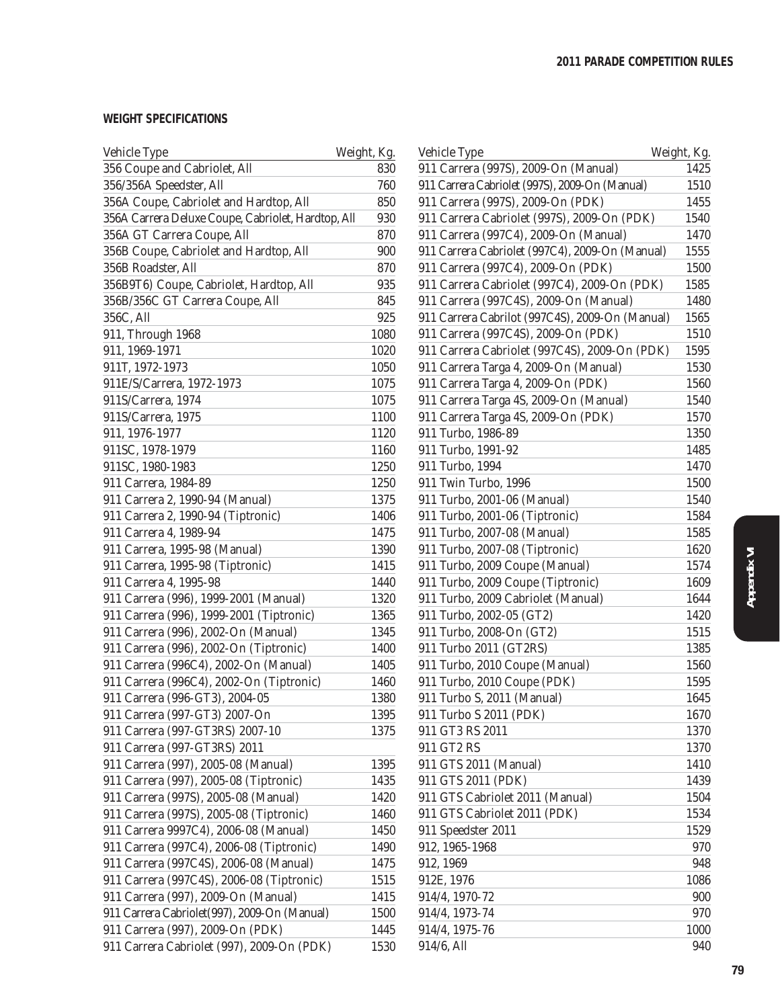### **WEIGHT SPECIFICATIONS**

| Vehicle Type                                       | Weight, Kg. | Vehicle Type                                    | Weight, Kg. |
|----------------------------------------------------|-------------|-------------------------------------------------|-------------|
| 356 Coupe and Cabriolet, All                       | 830         | 911 Carrera (997S), 2009-On (Manual)            | 1425        |
| 356/356A Speedster, All                            | 760         | 911 Carrera Cabriolet (997S), 2009-On (Manual)  | 1510        |
| 356A Coupe, Cabriolet and Hardtop, All             | 850         | 911 Carrera (997S), 2009-On (PDK)               | 1455        |
| 356A Carrera Deluxe Coupe, Cabriolet, Hardtop, All | 930         | 911 Carrera Cabriolet (997S), 2009-On (PDK)     | 1540        |
| 356A GT Carrera Coupe, All                         | 870         | 911 Carrera (997C4), 2009-On (Manual)           | 1470        |
| 356B Coupe, Cabriolet and Hardtop, All             | 900         | 911 Carrera Cabriolet (997C4), 2009-On (Manual) | 1555        |
| 356B Roadster, All                                 | 870         | 911 Carrera (997C4), 2009-On (PDK)              | 1500        |
| 356B9T6) Coupe, Cabriolet, Hardtop, All            | 935         | 911 Carrera Cabriolet (997C4), 2009-On (PDK)    | 1585        |
| 356B/356C GT Carrera Coupe, All                    | 845         | 911 Carrera (997C4S), 2009-On (Manual)          | 1480        |
| 356C, All                                          | 925         | 911 Carrera Cabrilot (997C4S), 2009-On (Manual) | 1565        |
| 911, Through 1968                                  | 1080        | 911 Carrera (997C4S), 2009-On (PDK)             | 1510        |
| 911, 1969-1971                                     | 1020        | 911 Carrera Cabriolet (997C4S), 2009-On (PDK)   | 1595        |
| 911T, 1972-1973                                    | 1050        | 911 Carrera Targa 4, 2009-On (Manual)           | 1530        |
| 911E/S/Carrera, 1972-1973                          | 1075        | 911 Carrera Targa 4, 2009-On (PDK)              | 1560        |
| 911S/Carrera, 1974                                 | 1075        | 911 Carrera Targa 4S, 2009-On (Manual)          | 1540        |
| 911S/Carrera, 1975                                 | 1100        | 911 Carrera Targa 4S, 2009-On (PDK)             | 1570        |
| 911, 1976-1977                                     | 1120        | 911 Turbo, 1986-89                              | 1350        |
| 911SC, 1978-1979                                   | 1160        | 911 Turbo, 1991-92                              | 1485        |
| 911SC, 1980-1983                                   | 1250        | 911 Turbo, 1994                                 | 1470        |
| 911 Carrera, 1984-89                               | 1250        | 911 Twin Turbo, 1996                            | 1500        |
| 911 Carrera 2, 1990-94 (Manual)                    | 1375        | 911 Turbo, 2001-06 (Manual)                     | 1540        |
| 911 Carrera 2, 1990-94 (Tiptronic)                 | 1406        | 911 Turbo, 2001-06 (Tiptronic)                  | 1584        |
| 911 Carrera 4, 1989-94                             | 1475        | 911 Turbo, 2007-08 (Manual)                     | 1585        |
| 911 Carrera, 1995-98 (Manual)                      | 1390        | 911 Turbo, 2007-08 (Tiptronic)                  | 1620        |
| 911 Carrera, 1995-98 (Tiptronic)                   | 1415        | 911 Turbo, 2009 Coupe (Manual)                  | 1574        |
| 911 Carrera 4, 1995-98                             | 1440        | 911 Turbo, 2009 Coupe (Tiptronic)               | 1609        |
| 911 Carrera (996), 1999-2001 (Manual)              | 1320        | 911 Turbo, 2009 Cabriolet (Manual)              | 1644        |
| 911 Carrera (996), 1999-2001 (Tiptronic)           | 1365        | 911 Turbo, 2002-05 (GT2)                        | 1420        |
| 911 Carrera (996), 2002-On (Manual)                | 1345        | 911 Turbo, 2008-On (GT2)                        | 1515        |
| 911 Carrera (996), 2002-On (Tiptronic)             | 1400        | 911 Turbo 2011 (GT2RS)                          | 1385        |
| 911 Carrera (996C4), 2002-On (Manual)              | 1405        | 911 Turbo, 2010 Coupe (Manual)                  | 1560        |
| 911 Carrera (996C4), 2002-On (Tiptronic)           | 1460        | 911 Turbo, 2010 Coupe (PDK)                     | 1595        |
| 911 Carrera (996-GT3), 2004-05                     | 1380        | 911 Turbo S, 2011 (Manual)                      | 1645        |
| 911 Carrera (997-GT3) 2007-On                      | 1395        | 911 Turbo S 2011 (PDK)                          | 1670        |
| 911 Carrera (997-GT3RS) 2007-10                    | 1375        | 911 GT3 RS 2011                                 | 1370        |
| 911 Carrera (997-GT3RS) 2011                       |             | 911 GT2 RS                                      | 1370        |
| 911 Carrera (997), 2005-08 (Manual)                | 1395        | 911 GTS 2011 (Manual)                           | 1410        |
| 911 Carrera (997), 2005-08 (Tiptronic)             | 1435        | 911 GTS 2011 (PDK)                              | 1439        |
| 911 Carrera (997S), 2005-08 (Manual)               | 1420        | 911 GTS Cabriolet 2011 (Manual)                 | 1504        |
| 911 Carrera (997S), 2005-08 (Tiptronic)            | 1460        | 911 GTS Cabriolet 2011 (PDK)                    | 1534        |
| 911 Carrera 9997C4), 2006-08 (Manual)              | 1450        | 911 Speedster 2011                              | 1529        |
| 911 Carrera (997C4), 2006-08 (Tiptronic)           | 1490        | 912, 1965-1968                                  | 970         |
| 911 Carrera (997C4S), 2006-08 (Manual)             | 1475        | 912, 1969                                       | 948         |
| 911 Carrera (997C4S), 2006-08 (Tiptronic)          | 1515        | 912E, 1976                                      | 1086        |
| 911 Carrera (997), 2009-On (Manual)                | 1415        | 914/4, 1970-72                                  | 900         |
| 911 Carrera Cabriolet (997), 2009-On (Manual)      | 1500        | 914/4, 1973-74                                  | 970         |
| 911 Carrera (997), 2009-On (PDK)                   | 1445        | 914/4, 1975-76                                  | 1000        |
| 911 Carrera Cabriolet (997), 2009-On (PDK)         | 1530        | 914/6, All                                      | 940         |
|                                                    |             |                                                 |             |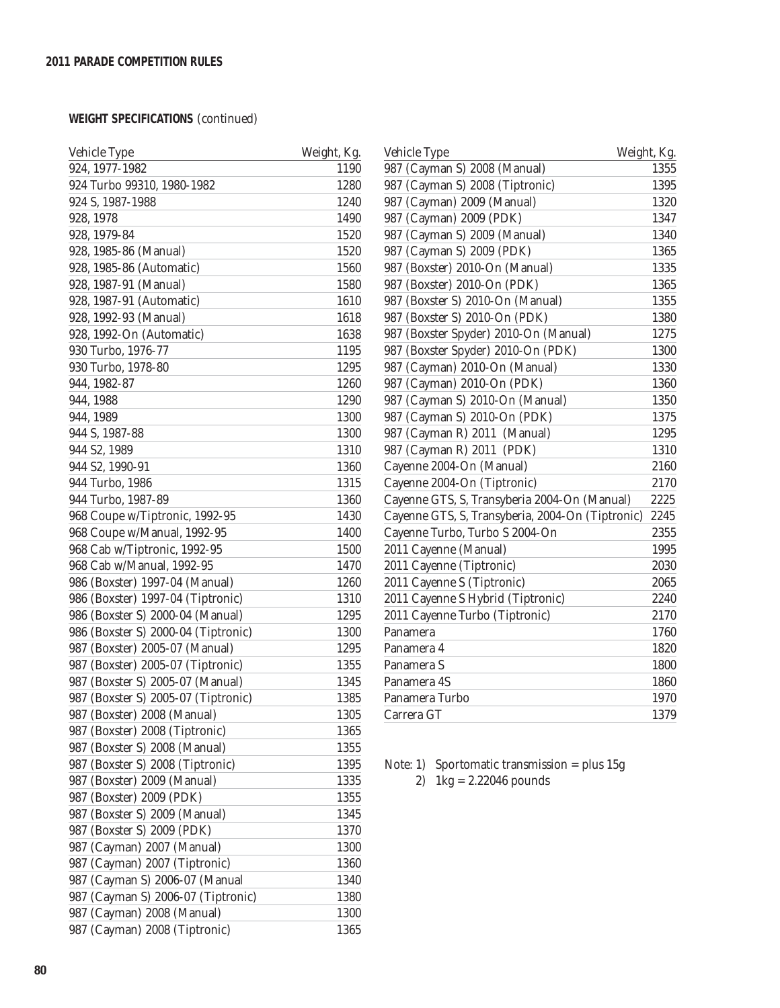# **WEIGHT SPECIFICATIONS** (continued)

| Vehicle Type                        | Weight, Kg. |
|-------------------------------------|-------------|
| 924, 1977-1982                      | 1190        |
| 924 Turbo 99310, 1980-1982          | 1280        |
| 924 S, 1987-1988                    | 1240        |
| 928, 1978                           | 1490        |
| 928, 1979-84                        | 1520        |
| 928, 1985-86 (Manual)               | 1520        |
| 928, 1985-86 (Automatic)            | 1560        |
| 928, 1987-91 (Manual)               | 1580        |
| 928, 1987-91 (Automatic)            | 1610        |
| 928, 1992-93 (Manual)               | 1618        |
| 928, 1992-On (Automatic)            | 1638        |
| 930 Turbo, 1976-77                  | 1195        |
| 930 Turbo, 1978-80                  | 1295        |
| 944, 1982-87                        | 1260        |
| 944, 1988                           | 1290        |
| 944, 1989                           | 1300        |
| 944 S, 1987-88                      | 1300        |
| 944 S2, 1989                        | 1310        |
|                                     | 1360        |
| 944 S2, 1990-91                     |             |
| 944 Turbo, 1986                     | 1315        |
| 944 Turbo, 1987-89                  | 1360        |
| 968 Coupe w/Tiptronic, 1992-95      | 1430        |
| 968 Coupe w/Manual, 1992-95         | 1400        |
| 968 Cab w/Tiptronic, 1992-95        | 1500        |
| 968 Cab w/Manual, 1992-95           | 1470        |
| 986 (Boxster) 1997-04 (Manual)      | 1260        |
| 986 (Boxster) 1997-04 (Tiptronic)   | 1310        |
| 986 (Boxster S) 2000-04 (Manual)    | 1295        |
| 986 (Boxster S) 2000-04 (Tiptronic) | 1300        |
| 987 (Boxster) 2005-07 (Manual)      | 1295        |
| 987 (Boxster) 2005-07 (Tiptronic)   | 1355        |
| 987 (Boxster S) 2005-07 (Manual)    | 1345        |
| 987 (Boxster S) 2005-07 (Tiptronic) | 1385        |
| 987 (Boxster) 2008 (Manual)         | 1305        |
| 987 (Boxster) 2008 (Tiptronic)      | 1365        |
| 987 (Boxster S) 2008 (Manual)       | 1355        |
| 987 (Boxster S) 2008 (Tiptronic)    | 1395        |
| 987 (Boxster) 2009 (Manual)         | 1335        |
| 987 (Boxster) 2009 (PDK)            | 1355        |
| 987 (Boxster S) 2009 (Manual)       | 1345        |
| 987 (Boxster S) 2009 (PDK)          | 1370        |
| 987 (Cayman) 2007 (Manual)          | 1300        |
| 987 (Cayman) 2007 (Tiptronic)       | 1360        |
| 987 (Cayman S) 2006-07 (Manual      | 1340        |
| 987 (Cayman S) 2006-07 (Tiptronic)  | 1380        |
| 987 (Cayman) 2008 (Manual)          | 1300        |
| 987 (Cayman) 2008 (Tiptronic)       | 1365        |

| Vehicle Type                                     | Weight, Kg. |
|--------------------------------------------------|-------------|
| 987 (Cayman S) 2008 (Manual)                     | 1355        |
| 987 (Cayman S) 2008 (Tiptronic)                  | 1395        |
| 987 (Cayman) 2009 (Manual)                       | 1320        |
| 987 (Cayman) 2009 (PDK)                          | 1347        |
| 987 (Cayman S) 2009 (Manual)                     | 1340        |
| 987 (Cayman S) 2009 (PDK)                        | 1365        |
| 987 (Boxster) 2010-On (Manual)                   | 1335        |
| 987 (Boxster) 2010-On (PDK)                      | 1365        |
| 987 (Boxster S) 2010-On (Manual)                 | 1355        |
| 987 (Boxster S) 2010-On (PDK)                    | 1380        |
| 987 (Boxster Spyder) 2010-On (Manual)            | 1275        |
| 987 (Boxster Spyder) 2010-On (PDK)               | 1300        |
| 987 (Cayman) 2010-On (Manual)                    | 1330        |
| 987 (Cayman) 2010-On (PDK)                       | 1360        |
| 987 (Cayman S) 2010-On (Manual)                  | 1350        |
| 987 (Cayman S) 2010-On (PDK)                     | 1375        |
| 987 (Cayman R) 2011 (Manual)                     | 1295        |
| 987 (Cayman R) 2011 (PDK)                        | 1310        |
| Cayenne 2004-On (Manual)                         | 2160        |
| Cayenne 2004-On (Tiptronic)                      | 2170        |
| Cayenne GTS, S, Transyberia 2004-On (Manual)     | 2225        |
| Cayenne GTS, S, Transyberia, 2004-On (Tiptronic) | 2245        |
| Cayenne Turbo, Turbo S 2004-On                   | 2355        |
| 2011 Cayenne (Manual)                            | 1995        |
| 2011 Cayenne (Tiptronic)                         | 2030        |
| 2011 Cayenne S (Tiptronic)                       | 2065        |
| 2011 Cayenne S Hybrid (Tiptronic)                | 2240        |
| 2011 Cayenne Turbo (Tiptronic)                   | 2170        |
| Panamera                                         | 1760        |
| Panamera 4                                       | 1820        |
| Panamera S                                       | 1800        |
| Panamera 4S                                      | 1860        |
| Panamera Turbo                                   | 1970        |
| Carrera GT                                       | 1379        |
|                                                  |             |

Note: 1) Sportomatic transmission = plus 15g

2)  $1 \text{kg} = 2.22046$  pounds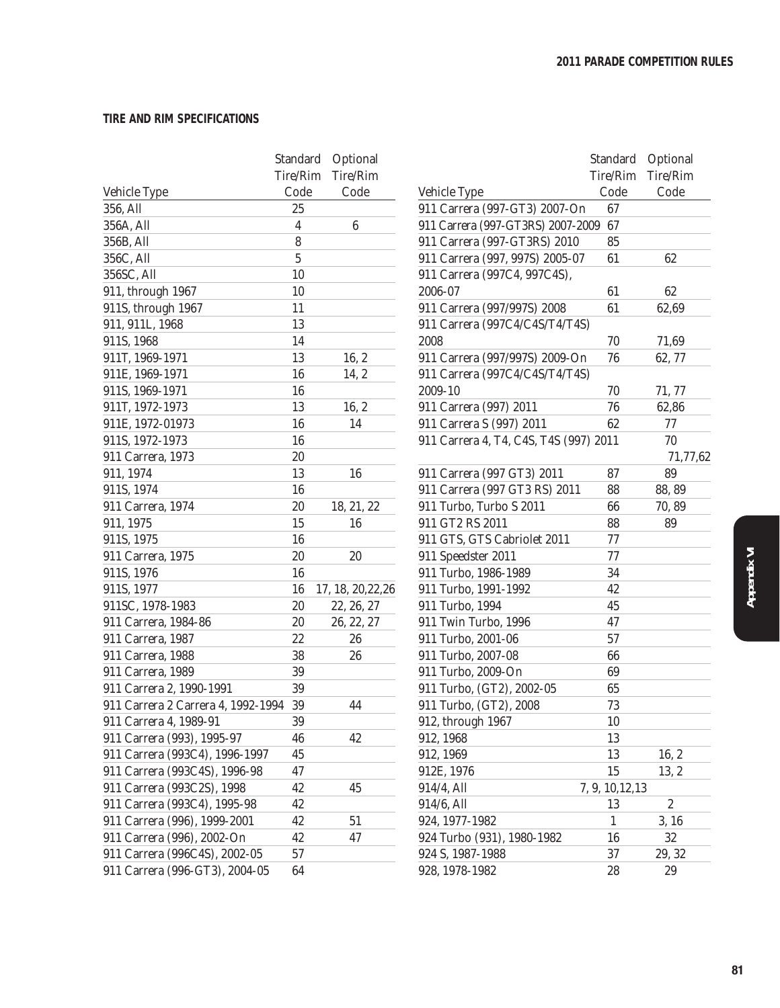#### **TIRE AND RIM SPECIFICATIONS**

|                                    |                  | Standard Optional  |                                        | Standard Optional |                  |
|------------------------------------|------------------|--------------------|----------------------------------------|-------------------|------------------|
|                                    | Tire/Rim         | Tire/Rim           |                                        | Tire/Rim          | Tire/Rim         |
| Vehicle Type                       | Code             | Code               | Vehicle Type                           | Code              | Code             |
| 356, All                           | 25               |                    | 911 Carrera (997-GT3) 2007-On          | 67                |                  |
| 356A, All                          | $\boldsymbol{4}$ | $\boldsymbol{6}$   | 911 Carrera (997-GT3RS) 2007-2009 67   |                   |                  |
| 356B, All                          | 8                |                    | 911 Carrera (997-GT3RS) 2010           | 85                |                  |
| 356C, All                          | $\overline{5}$   |                    | 911 Carrera (997, 997S) 2005-07        | 61                | 62               |
| 356SC, All                         | 10               |                    | 911 Carrera (997C4, 997C4S),           |                   |                  |
| 911, through 1967                  | 10               |                    | 2006-07                                | 61                | 62               |
| 911S, through 1967                 | 11               |                    | 911 Carrera (997/997S) 2008            | 61                | 62,69            |
| 911, 911L, 1968                    | 13               |                    | 911 Carrera (997C4/C4S/T4/T4S)         |                   |                  |
| 911S, 1968                         | 14               |                    | 2008                                   | 70                | 71,69            |
| 911T, 1969-1971                    | 13               | 16, 2              | 911 Carrera (997/997S) 2009-On         | 76                | 62,77            |
| 911E, 1969-1971                    | 16               | 14, 2              | 911 Carrera (997C4/C4S/T4/T4S)         |                   |                  |
| 911S, 1969-1971                    | 16               |                    | 2009-10                                | 70                | 71, 77           |
| 911T, 1972-1973                    | 13               | 16, 2              | 911 Carrera (997) 2011                 | 76                | 62,86            |
| 911E, 1972-01973                   | 16               | 14                 | 911 Carrera S (997) 2011               | 62                | $77 \,$          |
| 911S, 1972-1973                    | 16               |                    | 911 Carrera 4, T4, C4S, T4S (997) 2011 |                   | 70               |
| 911 Carrera, 1973                  | $20\,$           |                    |                                        |                   | 71,77,62         |
| 911, 1974                          | 13               | 16                 | 911 Carrera (997 GT3) 2011             | 87                | 89               |
| 911S, 1974                         | 16               |                    | 911 Carrera (997 GT3 RS) 2011          | 88                | 88, 89           |
| 911 Carrera, 1974                  | 20               | 18, 21, 22         | 911 Turbo, Turbo S 2011                | 66                | 70,89            |
| 911, 1975                          | 15               | 16                 | 911 GT2 RS 2011                        | 88                | 89               |
| 911S, 1975                         | 16               |                    | 911 GTS, GTS Cabriolet 2011            | 77                |                  |
| 911 Carrera, 1975                  | $20\,$           | 20                 | 911 Speedster 2011                     | 77                |                  |
| 911S, 1976                         | 16               |                    | 911 Turbo, 1986-1989                   | 34                |                  |
| 911S, 1977                         | 16               | 17, 18, 20, 22, 26 | 911 Turbo, 1991-1992                   | 42                |                  |
| 911SC, 1978-1983                   | 20               | 22, 26, 27         | 911 Turbo, 1994                        | 45                |                  |
| 911 Carrera, 1984-86               | $20\,$           | 26, 22, 27         | 911 Twin Turbo, 1996                   | 47                |                  |
| 911 Carrera, 1987                  | 22               | 26                 | 911 Turbo, 2001-06                     | 57                |                  |
| 911 Carrera, 1988                  | 38               | 26                 | 911 Turbo, 2007-08                     | 66                |                  |
| 911 Carrera, 1989                  | 39               |                    | 911 Turbo, 2009-On                     | 69                |                  |
| 911 Carrera 2, 1990-1991           | 39               |                    | 911 Turbo, (GT2), 2002-05              | 65                |                  |
| 911 Carrera 2 Carrera 4, 1992-1994 | 39               | 44                 | 911 Turbo, (GT2), 2008                 | 73                |                  |
| 911 Carrera 4, 1989-91             | $39\,$           |                    | 912, through 1967                      | $10\,$            |                  |
| 911 Carrera (993), 1995-97         | 46               | 42                 | 912, 1968                              | 13                |                  |
| 911 Carrera (993C4), 1996-1997     | 45               |                    | 912, 1969                              | 13                | 16, 2            |
| 911 Carrera (993C4S), 1996-98      | 47               |                    | 912E, 1976                             | 15                | 13, 2            |
| 911 Carrera (993C2S), 1998         | 42               | 45                 | 914/4, All                             | 7, 9, 10, 12, 13  |                  |
| 911 Carrera (993C4), 1995-98       | 42               |                    | 914/6, All                             | 13                | $\boldsymbol{2}$ |
| 911 Carrera (996), 1999-2001       | 42               | $51\,$             | 924, 1977-1982                         | $\mathbf{1}$      | 3, 16            |
| 911 Carrera (996), 2002-On         | 42               | 47                 | 924 Turbo (931), 1980-1982             | 16                | $32\,$           |
| 911 Carrera (996C4S), 2002-05      | $57\,$           |                    | 924 S, 1987-1988                       | 37                | 29, 32           |
| 911 Carrera (996-GT3), 2004-05     | 64               |                    | 928, 1978-1982                         | 28                | 29               |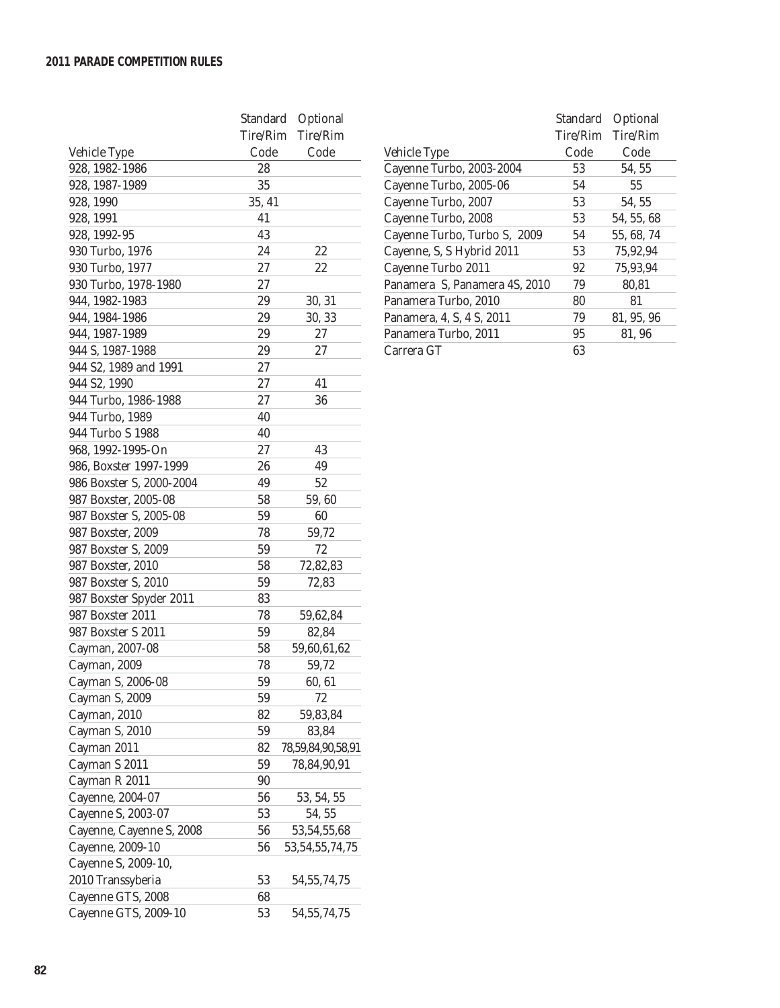|                          | Standard | Optional           |
|--------------------------|----------|--------------------|
|                          | Tire/Rim | Tire/Rim           |
| Vehicle Type             | Code     | Code               |
| 928, 1982-1986           | 28       |                    |
| 928, 1987-1989           | 35       |                    |
| 928, 1990                | 35, 41   |                    |
| 928, 1991                | 41       |                    |
| 928, 1992-95             | 43       |                    |
| 930 Turbo, 1976          | 24       | 22                 |
| 930 Turbo, 1977          | 27       | 22                 |
| 930 Turbo, 1978-1980     | 27       |                    |
| 944, 1982-1983           | 29       | 30, 31             |
| 944, 1984-1986           | 29       | 30, 33             |
| 944, 1987-1989           | 29       | 27                 |
| 944 S, 1987-1988         | 29       | 27                 |
| 944 S2, 1989 and 1991    | 27       |                    |
| 944 S2, 1990             | 27       | 41                 |
| 944 Turbo, 1986-1988     | 27       | 36                 |
| 944 Turbo, 1989          | 40       |                    |
| 944 Turbo S 1988         | 40       |                    |
| 968, 1992-1995-On        | 27       | 43                 |
| 986, Boxster 1997-1999   | 26       | 49                 |
| 986 Boxster S, 2000-2004 | 49       | 52                 |
| 987 Boxster, 2005-08     | 58       | 59,60              |
| 987 Boxster S, 2005-08   | 59       | 60                 |
| 987 Boxster, 2009        | 78       | 59,72              |
| 987 Boxster S, 2009      | 59       | 72                 |
| 987 Boxster, 2010        | 58       | 72,82,83           |
| 987 Boxster S, 2010      | 59       | 72,83              |
| 987 Boxster Spyder 2011  | 83       |                    |
| 987 Boxster 2011         | 78       | 59,62,84           |
| 987 Boxster S 2011       | 59       | 82,84              |
| Cayman, 2007-08          | 58       | 59,60,61,62        |
| Cayman, 2009             | 78       | 59,72              |
| Cayman S, 2006-08        | 59       | 60, 61             |
| Cayman S, 2009           | 59       | 72                 |
| Cayman, 2010             | 82       | 59,83,84           |
| Cayman S, 2010           | 59       | 83,84              |
| Cayman 2011              | 82       | 78,59,84,90,58,91  |
| Cayman S 2011            | 59       | 78,84,90,91        |
| Cayman R 2011            | 90       |                    |
| Cayenne, 2004-07         | 56       | 53, 54, 55         |
| Cayenne S, 2003-07       | 53       | 54, 55             |
| Cayenne, Cayenne S, 2008 | 56       | 53, 54, 55, 68     |
| Cayenne, 2009-10         | 56       | 53, 54, 55, 74, 75 |
| Cayenne S, 2009-10,      |          |                    |
| 2010 Transsyberia        | 53       | 54, 55, 74, 75     |
| Cayenne GTS, 2008        | 68       |                    |
| Cayenne GTS, 2009-10     | 53       | 54, 55, 74, 75     |
|                          |          |                    |

|                               | Standard | Optional   |
|-------------------------------|----------|------------|
|                               | Tire/Rim | Tire/Rim   |
| Vehicle Type                  | Code     | Code       |
| Cayenne Turbo, 2003-2004      | 53       | 54, 55     |
| Cayenne Turbo, 2005-06        | 54       | 55         |
| Cayenne Turbo, 2007           | 53       | 54, 55     |
| Cayenne Turbo, 2008           | 53       | 54, 55, 68 |
| Cayenne Turbo, Turbo S, 2009  | 54       | 55, 68, 74 |
| Cayenne, S, S Hybrid 2011     | 53       | 75.92.94   |
| Cayenne Turbo 2011            | 92       | 75.93.94   |
| Panamera S, Panamera 4S, 2010 | 79       | 80.81      |
| Panamera Turbo. 2010          | 80       | 81         |
| Panamera, 4, S, 4 S, 2011     | 79       | 81, 95, 96 |
| Panamera Turbo, 2011          | 95       | 81, 96     |
| Carrera GT                    | 63       |            |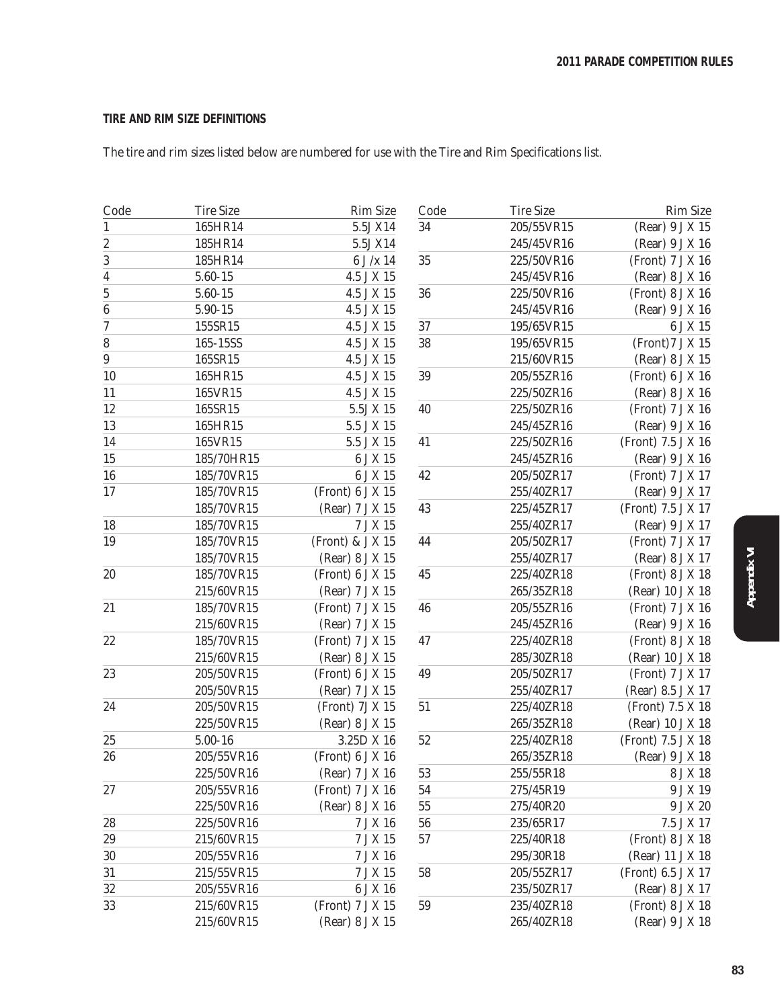### **TIRE AND RIM SIZE DEFINITIONS**

The tire and rim sizes listed below are numbered for use with the Tire and Rim Specifications list.

| 5.5J X14<br>205/55VR15<br>(Rear) 9 J X 15<br>165HR14<br>34<br>185HR14<br>5.5J X14<br>245/45VR16<br>(Rear) 9 J X 16<br>35<br>185HR14<br>$6$ J $/\mathrm{x}$ 14<br>225/50VR16<br>(Front) 7 J X 16<br>5.60-15<br>4.5 J X 15<br>245/45VR16<br>(Rear) 8 J X 16<br>$5.60 - 15$<br>4.5 J X 15<br>36<br>225/50VR16<br>(Front) 8 J X 16<br>5.90-15<br>4.5 J X 15<br>245/45VR16<br>(Rear) 9 J X 16<br>$37\,$<br>155SR15<br>4.5 J X 15<br>195/65VR15<br>6 J X 15<br>165-15SS<br>4.5 J X 15<br>38<br>195/65VR15<br>(Front) 7 J X 15<br>165SR15<br>4.5 J X 15<br>215/60VR15<br>(Rear) 8 J X 15<br>$39\,$<br>165HR15<br>4.5 J X 15<br>205/55ZR16<br>(Front) 6 J X 16<br>165VR15<br>4.5 J X 15<br>225/50ZR16<br>(Rear) 8 J X 16<br>$5.5J\times15$<br>225/50ZR16<br>(Front) 7 J X 16<br>165SR15<br>40<br>165HR15<br>5.5 J X 15<br>245/45ZR16<br>(Rear) 9 J X 16<br>165VR15<br>5.5 J X 15<br>41<br>225/50ZR16<br>(Front) 7.5 J X 16<br>6 J X 15<br>185/70HR15<br>245/45ZR16<br>(Rear) 9 J X 16<br>6 J X 15<br>42<br>185/70VR15<br>205/50ZR17<br>(Front) 7 J X 17<br>185/70VR15<br>(Front) 6 J X 15<br>255/40ZR17<br>(Rear) 9 J X 17<br>43<br>185/70VR15<br>225/45ZR17<br>(Front) 7.5 J X 17<br>(Rear) 7 J X 15<br>185/70VR15<br>7 J X 15<br>255/40ZR17<br>(Rear) 9 J X 17<br>(Front) & J $X$ 15<br>44<br>185/70VR15<br>205/50ZR17<br>(Front) 7 J X 17<br>255/40ZR17<br>(Rear) 8 J X 17<br>185/70VR15<br>(Rear) 8 J X 15<br>185/70VR15<br>(Front) 6 J X 15<br>45<br>225/40ZR18<br>(Front) 8 J X 18<br>215/60VR15<br>265/35ZR18<br>(Rear) 7 J X 15<br>(Rear) 10 J X 18<br>(Front) 7 J X 15<br>46<br>205/55ZR16<br>185/70VR15<br>(Front) 7 J X 16<br>215/60VR15<br>(Rear) 7 J X 15<br>245/45ZR16<br>(Rear) 9 J X 16<br>47<br>185/70VR15<br>(Front) 7 J X 15<br>225/40ZR18<br>(Front) 8 J X 18<br>285/30ZR18<br>215/60VR15<br>(Rear) 8 J X 15<br>(Rear) 10 J X 18<br>$\bf 49$<br>205/50VR15<br>(Front) 6 J X 15<br>205/50ZR17<br>(Front) 7 J X 17<br>205/50VR15<br>255/40ZR17<br>(Rear) 7 J X 15<br>(Rear) 8.5 J X 17<br>$51\,$<br>205/50VR15<br>(Front) 7J X 15<br>225/40ZR18<br>(Front) 7.5 X 18<br>225/50VR15<br>(Rear) 8 J X 15<br>265/35ZR18<br>(Rear) 10 J X 18<br>$5.00 - 16$<br>$52\,$<br>3.25D X 16<br>225/40ZR18<br>(Front) 7.5 J X 18<br>205/55VR16<br>(Front) 6 J X 16<br>265/35ZR18<br>(Rear) 9 J X 18<br>225/50VR16<br>(Rear) 7 J X 16<br>$53\,$<br>255/55R18<br>8 J X 18<br>205/55VR16<br>(Front) 7 J X 16<br>54<br>275/45R19<br>9 J X 19<br>225/50VR16<br>(Rear) 8 J X 16<br>55<br>275/40R20<br>9 J X 20<br>28<br>7 J X 16<br>${\bf 56}$<br>235/65R17<br>7.5 J X 17<br>225/50VR16<br>$7\,\mathrm{J}\,\mathrm{X}$ 15<br>57<br>(Front) 8 J X 18<br>215/60VR15<br>225/40R18<br>$30\,$<br>205/55VR16<br>7 J X 16<br>295/30R18<br>(Rear) 11 J X 18<br>31<br>215/55VR15<br>$7\,\mathrm{J}\,\mathrm{X}$ 15<br>58<br>205/55ZR17<br>(Front) 6.5 J X 17<br>$32\,$<br>205/55VR16<br>6 J X 16<br>235/50ZR17<br>(Rear) 8 J X 17<br>33<br>(Front) 7 J X 15<br>(Front) 8 J X 18<br>215/60VR15<br>59<br>235/40ZR18<br>215/60VR15<br>(Rear) 8 J X 15<br>265/40ZR18<br>(Rear) 9 J X 18 | Code                    | <b>Tire Size</b> | <b>Rim Size</b> | Code | <b>Tire Size</b> | <b>Rim Size</b> |
|-----------------------------------------------------------------------------------------------------------------------------------------------------------------------------------------------------------------------------------------------------------------------------------------------------------------------------------------------------------------------------------------------------------------------------------------------------------------------------------------------------------------------------------------------------------------------------------------------------------------------------------------------------------------------------------------------------------------------------------------------------------------------------------------------------------------------------------------------------------------------------------------------------------------------------------------------------------------------------------------------------------------------------------------------------------------------------------------------------------------------------------------------------------------------------------------------------------------------------------------------------------------------------------------------------------------------------------------------------------------------------------------------------------------------------------------------------------------------------------------------------------------------------------------------------------------------------------------------------------------------------------------------------------------------------------------------------------------------------------------------------------------------------------------------------------------------------------------------------------------------------------------------------------------------------------------------------------------------------------------------------------------------------------------------------------------------------------------------------------------------------------------------------------------------------------------------------------------------------------------------------------------------------------------------------------------------------------------------------------------------------------------------------------------------------------------------------------------------------------------------------------------------------------------------------------------------------------------------------------------------------------------------------------------------------------------------------------------------------------------------------------------------------------------------------------------------------------------------------------------------------------------------------------------------------------------------------------------------------------------------------------------------------------------------------------------|-------------------------|------------------|-----------------|------|------------------|-----------------|
|                                                                                                                                                                                                                                                                                                                                                                                                                                                                                                                                                                                                                                                                                                                                                                                                                                                                                                                                                                                                                                                                                                                                                                                                                                                                                                                                                                                                                                                                                                                                                                                                                                                                                                                                                                                                                                                                                                                                                                                                                                                                                                                                                                                                                                                                                                                                                                                                                                                                                                                                                                                                                                                                                                                                                                                                                                                                                                                                                                                                                                                                 | 1                       |                  |                 |      |                  |                 |
|                                                                                                                                                                                                                                                                                                                                                                                                                                                                                                                                                                                                                                                                                                                                                                                                                                                                                                                                                                                                                                                                                                                                                                                                                                                                                                                                                                                                                                                                                                                                                                                                                                                                                                                                                                                                                                                                                                                                                                                                                                                                                                                                                                                                                                                                                                                                                                                                                                                                                                                                                                                                                                                                                                                                                                                                                                                                                                                                                                                                                                                                 | $\boldsymbol{2}$        |                  |                 |      |                  |                 |
|                                                                                                                                                                                                                                                                                                                                                                                                                                                                                                                                                                                                                                                                                                                                                                                                                                                                                                                                                                                                                                                                                                                                                                                                                                                                                                                                                                                                                                                                                                                                                                                                                                                                                                                                                                                                                                                                                                                                                                                                                                                                                                                                                                                                                                                                                                                                                                                                                                                                                                                                                                                                                                                                                                                                                                                                                                                                                                                                                                                                                                                                 | 3                       |                  |                 |      |                  |                 |
|                                                                                                                                                                                                                                                                                                                                                                                                                                                                                                                                                                                                                                                                                                                                                                                                                                                                                                                                                                                                                                                                                                                                                                                                                                                                                                                                                                                                                                                                                                                                                                                                                                                                                                                                                                                                                                                                                                                                                                                                                                                                                                                                                                                                                                                                                                                                                                                                                                                                                                                                                                                                                                                                                                                                                                                                                                                                                                                                                                                                                                                                 | $\overline{\mathbf{4}}$ |                  |                 |      |                  |                 |
|                                                                                                                                                                                                                                                                                                                                                                                                                                                                                                                                                                                                                                                                                                                                                                                                                                                                                                                                                                                                                                                                                                                                                                                                                                                                                                                                                                                                                                                                                                                                                                                                                                                                                                                                                                                                                                                                                                                                                                                                                                                                                                                                                                                                                                                                                                                                                                                                                                                                                                                                                                                                                                                                                                                                                                                                                                                                                                                                                                                                                                                                 | $\mathbf 5$             |                  |                 |      |                  |                 |
|                                                                                                                                                                                                                                                                                                                                                                                                                                                                                                                                                                                                                                                                                                                                                                                                                                                                                                                                                                                                                                                                                                                                                                                                                                                                                                                                                                                                                                                                                                                                                                                                                                                                                                                                                                                                                                                                                                                                                                                                                                                                                                                                                                                                                                                                                                                                                                                                                                                                                                                                                                                                                                                                                                                                                                                                                                                                                                                                                                                                                                                                 | $\boldsymbol{6}$        |                  |                 |      |                  |                 |
|                                                                                                                                                                                                                                                                                                                                                                                                                                                                                                                                                                                                                                                                                                                                                                                                                                                                                                                                                                                                                                                                                                                                                                                                                                                                                                                                                                                                                                                                                                                                                                                                                                                                                                                                                                                                                                                                                                                                                                                                                                                                                                                                                                                                                                                                                                                                                                                                                                                                                                                                                                                                                                                                                                                                                                                                                                                                                                                                                                                                                                                                 | 7                       |                  |                 |      |                  |                 |
|                                                                                                                                                                                                                                                                                                                                                                                                                                                                                                                                                                                                                                                                                                                                                                                                                                                                                                                                                                                                                                                                                                                                                                                                                                                                                                                                                                                                                                                                                                                                                                                                                                                                                                                                                                                                                                                                                                                                                                                                                                                                                                                                                                                                                                                                                                                                                                                                                                                                                                                                                                                                                                                                                                                                                                                                                                                                                                                                                                                                                                                                 | 8                       |                  |                 |      |                  |                 |
|                                                                                                                                                                                                                                                                                                                                                                                                                                                                                                                                                                                                                                                                                                                                                                                                                                                                                                                                                                                                                                                                                                                                                                                                                                                                                                                                                                                                                                                                                                                                                                                                                                                                                                                                                                                                                                                                                                                                                                                                                                                                                                                                                                                                                                                                                                                                                                                                                                                                                                                                                                                                                                                                                                                                                                                                                                                                                                                                                                                                                                                                 | $\boldsymbol{9}$        |                  |                 |      |                  |                 |
|                                                                                                                                                                                                                                                                                                                                                                                                                                                                                                                                                                                                                                                                                                                                                                                                                                                                                                                                                                                                                                                                                                                                                                                                                                                                                                                                                                                                                                                                                                                                                                                                                                                                                                                                                                                                                                                                                                                                                                                                                                                                                                                                                                                                                                                                                                                                                                                                                                                                                                                                                                                                                                                                                                                                                                                                                                                                                                                                                                                                                                                                 | 10                      |                  |                 |      |                  |                 |
|                                                                                                                                                                                                                                                                                                                                                                                                                                                                                                                                                                                                                                                                                                                                                                                                                                                                                                                                                                                                                                                                                                                                                                                                                                                                                                                                                                                                                                                                                                                                                                                                                                                                                                                                                                                                                                                                                                                                                                                                                                                                                                                                                                                                                                                                                                                                                                                                                                                                                                                                                                                                                                                                                                                                                                                                                                                                                                                                                                                                                                                                 | 11                      |                  |                 |      |                  |                 |
|                                                                                                                                                                                                                                                                                                                                                                                                                                                                                                                                                                                                                                                                                                                                                                                                                                                                                                                                                                                                                                                                                                                                                                                                                                                                                                                                                                                                                                                                                                                                                                                                                                                                                                                                                                                                                                                                                                                                                                                                                                                                                                                                                                                                                                                                                                                                                                                                                                                                                                                                                                                                                                                                                                                                                                                                                                                                                                                                                                                                                                                                 | 12                      |                  |                 |      |                  |                 |
|                                                                                                                                                                                                                                                                                                                                                                                                                                                                                                                                                                                                                                                                                                                                                                                                                                                                                                                                                                                                                                                                                                                                                                                                                                                                                                                                                                                                                                                                                                                                                                                                                                                                                                                                                                                                                                                                                                                                                                                                                                                                                                                                                                                                                                                                                                                                                                                                                                                                                                                                                                                                                                                                                                                                                                                                                                                                                                                                                                                                                                                                 | 13                      |                  |                 |      |                  |                 |
|                                                                                                                                                                                                                                                                                                                                                                                                                                                                                                                                                                                                                                                                                                                                                                                                                                                                                                                                                                                                                                                                                                                                                                                                                                                                                                                                                                                                                                                                                                                                                                                                                                                                                                                                                                                                                                                                                                                                                                                                                                                                                                                                                                                                                                                                                                                                                                                                                                                                                                                                                                                                                                                                                                                                                                                                                                                                                                                                                                                                                                                                 | 14                      |                  |                 |      |                  |                 |
|                                                                                                                                                                                                                                                                                                                                                                                                                                                                                                                                                                                                                                                                                                                                                                                                                                                                                                                                                                                                                                                                                                                                                                                                                                                                                                                                                                                                                                                                                                                                                                                                                                                                                                                                                                                                                                                                                                                                                                                                                                                                                                                                                                                                                                                                                                                                                                                                                                                                                                                                                                                                                                                                                                                                                                                                                                                                                                                                                                                                                                                                 | 15                      |                  |                 |      |                  |                 |
|                                                                                                                                                                                                                                                                                                                                                                                                                                                                                                                                                                                                                                                                                                                                                                                                                                                                                                                                                                                                                                                                                                                                                                                                                                                                                                                                                                                                                                                                                                                                                                                                                                                                                                                                                                                                                                                                                                                                                                                                                                                                                                                                                                                                                                                                                                                                                                                                                                                                                                                                                                                                                                                                                                                                                                                                                                                                                                                                                                                                                                                                 | 16                      |                  |                 |      |                  |                 |
|                                                                                                                                                                                                                                                                                                                                                                                                                                                                                                                                                                                                                                                                                                                                                                                                                                                                                                                                                                                                                                                                                                                                                                                                                                                                                                                                                                                                                                                                                                                                                                                                                                                                                                                                                                                                                                                                                                                                                                                                                                                                                                                                                                                                                                                                                                                                                                                                                                                                                                                                                                                                                                                                                                                                                                                                                                                                                                                                                                                                                                                                 | 17                      |                  |                 |      |                  |                 |
|                                                                                                                                                                                                                                                                                                                                                                                                                                                                                                                                                                                                                                                                                                                                                                                                                                                                                                                                                                                                                                                                                                                                                                                                                                                                                                                                                                                                                                                                                                                                                                                                                                                                                                                                                                                                                                                                                                                                                                                                                                                                                                                                                                                                                                                                                                                                                                                                                                                                                                                                                                                                                                                                                                                                                                                                                                                                                                                                                                                                                                                                 |                         |                  |                 |      |                  |                 |
|                                                                                                                                                                                                                                                                                                                                                                                                                                                                                                                                                                                                                                                                                                                                                                                                                                                                                                                                                                                                                                                                                                                                                                                                                                                                                                                                                                                                                                                                                                                                                                                                                                                                                                                                                                                                                                                                                                                                                                                                                                                                                                                                                                                                                                                                                                                                                                                                                                                                                                                                                                                                                                                                                                                                                                                                                                                                                                                                                                                                                                                                 | 18                      |                  |                 |      |                  |                 |
|                                                                                                                                                                                                                                                                                                                                                                                                                                                                                                                                                                                                                                                                                                                                                                                                                                                                                                                                                                                                                                                                                                                                                                                                                                                                                                                                                                                                                                                                                                                                                                                                                                                                                                                                                                                                                                                                                                                                                                                                                                                                                                                                                                                                                                                                                                                                                                                                                                                                                                                                                                                                                                                                                                                                                                                                                                                                                                                                                                                                                                                                 | 19                      |                  |                 |      |                  |                 |
|                                                                                                                                                                                                                                                                                                                                                                                                                                                                                                                                                                                                                                                                                                                                                                                                                                                                                                                                                                                                                                                                                                                                                                                                                                                                                                                                                                                                                                                                                                                                                                                                                                                                                                                                                                                                                                                                                                                                                                                                                                                                                                                                                                                                                                                                                                                                                                                                                                                                                                                                                                                                                                                                                                                                                                                                                                                                                                                                                                                                                                                                 |                         |                  |                 |      |                  |                 |
|                                                                                                                                                                                                                                                                                                                                                                                                                                                                                                                                                                                                                                                                                                                                                                                                                                                                                                                                                                                                                                                                                                                                                                                                                                                                                                                                                                                                                                                                                                                                                                                                                                                                                                                                                                                                                                                                                                                                                                                                                                                                                                                                                                                                                                                                                                                                                                                                                                                                                                                                                                                                                                                                                                                                                                                                                                                                                                                                                                                                                                                                 | $20\,$                  |                  |                 |      |                  |                 |
|                                                                                                                                                                                                                                                                                                                                                                                                                                                                                                                                                                                                                                                                                                                                                                                                                                                                                                                                                                                                                                                                                                                                                                                                                                                                                                                                                                                                                                                                                                                                                                                                                                                                                                                                                                                                                                                                                                                                                                                                                                                                                                                                                                                                                                                                                                                                                                                                                                                                                                                                                                                                                                                                                                                                                                                                                                                                                                                                                                                                                                                                 |                         |                  |                 |      |                  |                 |
|                                                                                                                                                                                                                                                                                                                                                                                                                                                                                                                                                                                                                                                                                                                                                                                                                                                                                                                                                                                                                                                                                                                                                                                                                                                                                                                                                                                                                                                                                                                                                                                                                                                                                                                                                                                                                                                                                                                                                                                                                                                                                                                                                                                                                                                                                                                                                                                                                                                                                                                                                                                                                                                                                                                                                                                                                                                                                                                                                                                                                                                                 | 21                      |                  |                 |      |                  |                 |
|                                                                                                                                                                                                                                                                                                                                                                                                                                                                                                                                                                                                                                                                                                                                                                                                                                                                                                                                                                                                                                                                                                                                                                                                                                                                                                                                                                                                                                                                                                                                                                                                                                                                                                                                                                                                                                                                                                                                                                                                                                                                                                                                                                                                                                                                                                                                                                                                                                                                                                                                                                                                                                                                                                                                                                                                                                                                                                                                                                                                                                                                 |                         |                  |                 |      |                  |                 |
|                                                                                                                                                                                                                                                                                                                                                                                                                                                                                                                                                                                                                                                                                                                                                                                                                                                                                                                                                                                                                                                                                                                                                                                                                                                                                                                                                                                                                                                                                                                                                                                                                                                                                                                                                                                                                                                                                                                                                                                                                                                                                                                                                                                                                                                                                                                                                                                                                                                                                                                                                                                                                                                                                                                                                                                                                                                                                                                                                                                                                                                                 | 22                      |                  |                 |      |                  |                 |
|                                                                                                                                                                                                                                                                                                                                                                                                                                                                                                                                                                                                                                                                                                                                                                                                                                                                                                                                                                                                                                                                                                                                                                                                                                                                                                                                                                                                                                                                                                                                                                                                                                                                                                                                                                                                                                                                                                                                                                                                                                                                                                                                                                                                                                                                                                                                                                                                                                                                                                                                                                                                                                                                                                                                                                                                                                                                                                                                                                                                                                                                 |                         |                  |                 |      |                  |                 |
|                                                                                                                                                                                                                                                                                                                                                                                                                                                                                                                                                                                                                                                                                                                                                                                                                                                                                                                                                                                                                                                                                                                                                                                                                                                                                                                                                                                                                                                                                                                                                                                                                                                                                                                                                                                                                                                                                                                                                                                                                                                                                                                                                                                                                                                                                                                                                                                                                                                                                                                                                                                                                                                                                                                                                                                                                                                                                                                                                                                                                                                                 | 23                      |                  |                 |      |                  |                 |
|                                                                                                                                                                                                                                                                                                                                                                                                                                                                                                                                                                                                                                                                                                                                                                                                                                                                                                                                                                                                                                                                                                                                                                                                                                                                                                                                                                                                                                                                                                                                                                                                                                                                                                                                                                                                                                                                                                                                                                                                                                                                                                                                                                                                                                                                                                                                                                                                                                                                                                                                                                                                                                                                                                                                                                                                                                                                                                                                                                                                                                                                 |                         |                  |                 |      |                  |                 |
|                                                                                                                                                                                                                                                                                                                                                                                                                                                                                                                                                                                                                                                                                                                                                                                                                                                                                                                                                                                                                                                                                                                                                                                                                                                                                                                                                                                                                                                                                                                                                                                                                                                                                                                                                                                                                                                                                                                                                                                                                                                                                                                                                                                                                                                                                                                                                                                                                                                                                                                                                                                                                                                                                                                                                                                                                                                                                                                                                                                                                                                                 | 24                      |                  |                 |      |                  |                 |
|                                                                                                                                                                                                                                                                                                                                                                                                                                                                                                                                                                                                                                                                                                                                                                                                                                                                                                                                                                                                                                                                                                                                                                                                                                                                                                                                                                                                                                                                                                                                                                                                                                                                                                                                                                                                                                                                                                                                                                                                                                                                                                                                                                                                                                                                                                                                                                                                                                                                                                                                                                                                                                                                                                                                                                                                                                                                                                                                                                                                                                                                 |                         |                  |                 |      |                  |                 |
|                                                                                                                                                                                                                                                                                                                                                                                                                                                                                                                                                                                                                                                                                                                                                                                                                                                                                                                                                                                                                                                                                                                                                                                                                                                                                                                                                                                                                                                                                                                                                                                                                                                                                                                                                                                                                                                                                                                                                                                                                                                                                                                                                                                                                                                                                                                                                                                                                                                                                                                                                                                                                                                                                                                                                                                                                                                                                                                                                                                                                                                                 | 25                      |                  |                 |      |                  |                 |
|                                                                                                                                                                                                                                                                                                                                                                                                                                                                                                                                                                                                                                                                                                                                                                                                                                                                                                                                                                                                                                                                                                                                                                                                                                                                                                                                                                                                                                                                                                                                                                                                                                                                                                                                                                                                                                                                                                                                                                                                                                                                                                                                                                                                                                                                                                                                                                                                                                                                                                                                                                                                                                                                                                                                                                                                                                                                                                                                                                                                                                                                 | 26                      |                  |                 |      |                  |                 |
|                                                                                                                                                                                                                                                                                                                                                                                                                                                                                                                                                                                                                                                                                                                                                                                                                                                                                                                                                                                                                                                                                                                                                                                                                                                                                                                                                                                                                                                                                                                                                                                                                                                                                                                                                                                                                                                                                                                                                                                                                                                                                                                                                                                                                                                                                                                                                                                                                                                                                                                                                                                                                                                                                                                                                                                                                                                                                                                                                                                                                                                                 |                         |                  |                 |      |                  |                 |
|                                                                                                                                                                                                                                                                                                                                                                                                                                                                                                                                                                                                                                                                                                                                                                                                                                                                                                                                                                                                                                                                                                                                                                                                                                                                                                                                                                                                                                                                                                                                                                                                                                                                                                                                                                                                                                                                                                                                                                                                                                                                                                                                                                                                                                                                                                                                                                                                                                                                                                                                                                                                                                                                                                                                                                                                                                                                                                                                                                                                                                                                 | 27                      |                  |                 |      |                  |                 |
|                                                                                                                                                                                                                                                                                                                                                                                                                                                                                                                                                                                                                                                                                                                                                                                                                                                                                                                                                                                                                                                                                                                                                                                                                                                                                                                                                                                                                                                                                                                                                                                                                                                                                                                                                                                                                                                                                                                                                                                                                                                                                                                                                                                                                                                                                                                                                                                                                                                                                                                                                                                                                                                                                                                                                                                                                                                                                                                                                                                                                                                                 |                         |                  |                 |      |                  |                 |
|                                                                                                                                                                                                                                                                                                                                                                                                                                                                                                                                                                                                                                                                                                                                                                                                                                                                                                                                                                                                                                                                                                                                                                                                                                                                                                                                                                                                                                                                                                                                                                                                                                                                                                                                                                                                                                                                                                                                                                                                                                                                                                                                                                                                                                                                                                                                                                                                                                                                                                                                                                                                                                                                                                                                                                                                                                                                                                                                                                                                                                                                 |                         |                  |                 |      |                  |                 |
|                                                                                                                                                                                                                                                                                                                                                                                                                                                                                                                                                                                                                                                                                                                                                                                                                                                                                                                                                                                                                                                                                                                                                                                                                                                                                                                                                                                                                                                                                                                                                                                                                                                                                                                                                                                                                                                                                                                                                                                                                                                                                                                                                                                                                                                                                                                                                                                                                                                                                                                                                                                                                                                                                                                                                                                                                                                                                                                                                                                                                                                                 | 29                      |                  |                 |      |                  |                 |
|                                                                                                                                                                                                                                                                                                                                                                                                                                                                                                                                                                                                                                                                                                                                                                                                                                                                                                                                                                                                                                                                                                                                                                                                                                                                                                                                                                                                                                                                                                                                                                                                                                                                                                                                                                                                                                                                                                                                                                                                                                                                                                                                                                                                                                                                                                                                                                                                                                                                                                                                                                                                                                                                                                                                                                                                                                                                                                                                                                                                                                                                 |                         |                  |                 |      |                  |                 |
|                                                                                                                                                                                                                                                                                                                                                                                                                                                                                                                                                                                                                                                                                                                                                                                                                                                                                                                                                                                                                                                                                                                                                                                                                                                                                                                                                                                                                                                                                                                                                                                                                                                                                                                                                                                                                                                                                                                                                                                                                                                                                                                                                                                                                                                                                                                                                                                                                                                                                                                                                                                                                                                                                                                                                                                                                                                                                                                                                                                                                                                                 |                         |                  |                 |      |                  |                 |
|                                                                                                                                                                                                                                                                                                                                                                                                                                                                                                                                                                                                                                                                                                                                                                                                                                                                                                                                                                                                                                                                                                                                                                                                                                                                                                                                                                                                                                                                                                                                                                                                                                                                                                                                                                                                                                                                                                                                                                                                                                                                                                                                                                                                                                                                                                                                                                                                                                                                                                                                                                                                                                                                                                                                                                                                                                                                                                                                                                                                                                                                 |                         |                  |                 |      |                  |                 |
|                                                                                                                                                                                                                                                                                                                                                                                                                                                                                                                                                                                                                                                                                                                                                                                                                                                                                                                                                                                                                                                                                                                                                                                                                                                                                                                                                                                                                                                                                                                                                                                                                                                                                                                                                                                                                                                                                                                                                                                                                                                                                                                                                                                                                                                                                                                                                                                                                                                                                                                                                                                                                                                                                                                                                                                                                                                                                                                                                                                                                                                                 |                         |                  |                 |      |                  |                 |
|                                                                                                                                                                                                                                                                                                                                                                                                                                                                                                                                                                                                                                                                                                                                                                                                                                                                                                                                                                                                                                                                                                                                                                                                                                                                                                                                                                                                                                                                                                                                                                                                                                                                                                                                                                                                                                                                                                                                                                                                                                                                                                                                                                                                                                                                                                                                                                                                                                                                                                                                                                                                                                                                                                                                                                                                                                                                                                                                                                                                                                                                 |                         |                  |                 |      |                  |                 |